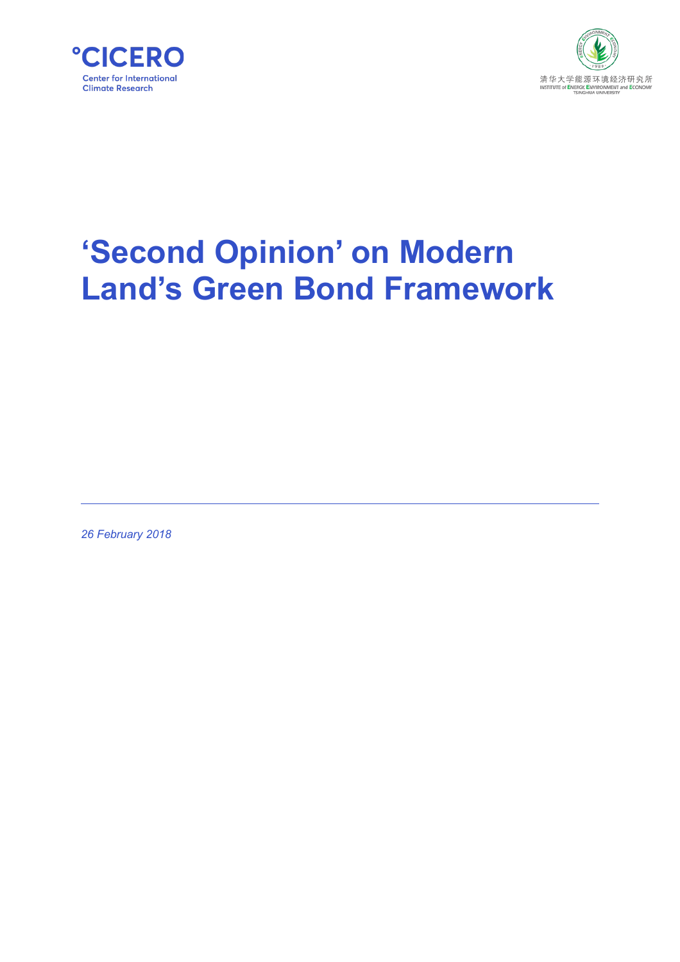



# **'Second Opinion' on Modern Land's Green Bond Framework**

*26 February 2018*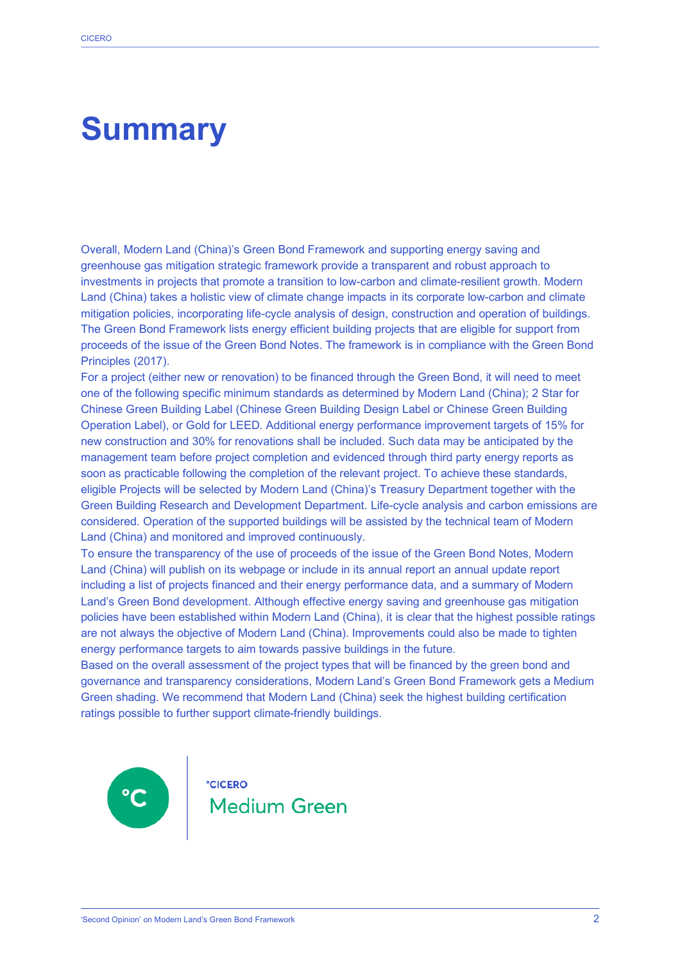## **Summary**

Overall, Modern Land (China)'s Green Bond Framework and supporting energy saving and greenhouse gas mitigation strategic framework provide a transparent and robust approach to investments in projects that promote a transition to low-carbon and climate-resilient growth. Modern Land (China) takes a holistic view of climate change impacts in its corporate low-carbon and climate mitigation policies, incorporating life-cycle analysis of design, construction and operation of buildings. The Green Bond Framework lists energy efficient building projects that are eligible for support from proceeds of the issue of the Green Bond Notes. The framework is in compliance with the Green Bond Principles (2017).

For a project (either new or renovation) to be financed through the Green Bond, it will need to meet one of the following specific minimum standards as determined by Modern Land (China); 2 Star for Chinese Green Building Label (Chinese Green Building Design Label or Chinese Green Building Operation Label), or Gold for LEED. Additional energy performance improvement targets of 15% for new construction and 30% for renovations shall be included. Such data may be anticipated by the management team before project completion and evidenced through third party energy reports as soon as practicable following the completion of the relevant project. To achieve these standards, eligible Projects will be selected by Modern Land (China)'s Treasury Department together with the Green Building Research and Development Department. Life-cycle analysis and carbon emissions are considered. Operation of the supported buildings will be assisted by the technical team of Modern Land (China) and monitored and improved continuously.

To ensure the transparency of the use of proceeds of the issue of the Green Bond Notes, Modern Land (China) will publish on its webpage or include in its annual report an annual update report including a list of projects financed and their energy performance data, and a summary of Modern Land's Green Bond development. Although effective energy saving and greenhouse gas mitigation policies have been established within Modern Land (China), it is clear that the highest possible ratings are not always the objective of Modern Land (China). Improvements could also be made to tighten energy performance targets to aim towards passive buildings in the future.

Based on the overall assessment of the project types that will be financed by the green bond and governance and transparency considerations, Modern Land's Green Bond Framework gets a Medium Green shading. We recommend that Modern Land (China) seek the highest building certification ratings possible to further support climate-friendly buildings.

 $^{\circ}$ C

**°CICERO** Medium Green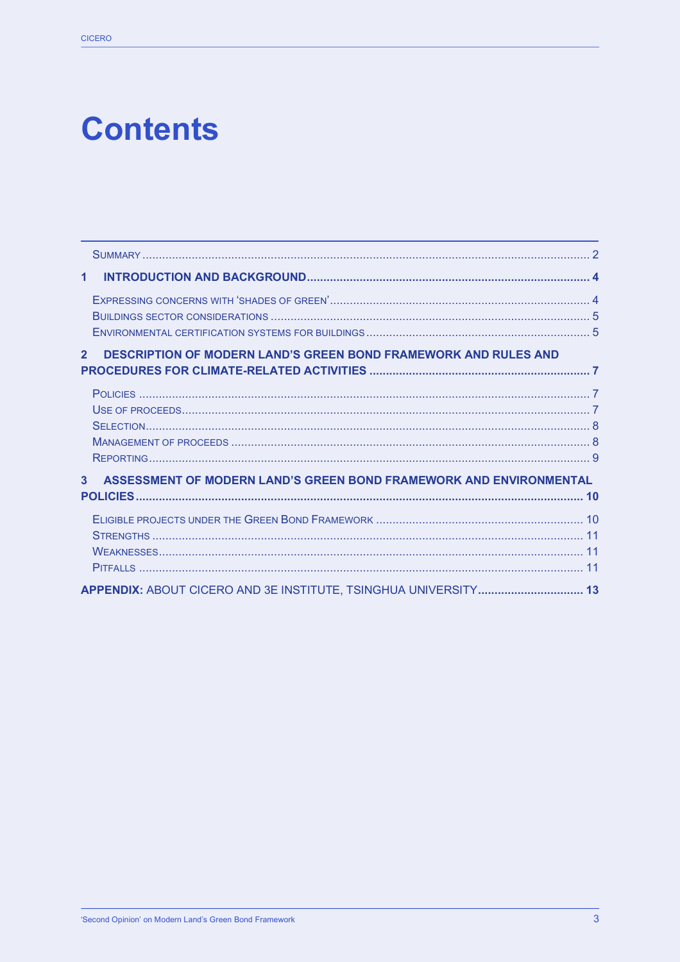## **Contents**

| $\mathbf{1}$                                                                             |    |
|------------------------------------------------------------------------------------------|----|
|                                                                                          |    |
| <b>DESCRIPTION OF MODERN LAND'S GREEN BOND FRAMEWORK AND RULES AND</b><br>$\overline{2}$ |    |
|                                                                                          |    |
| 3 <sup>1</sup><br>ASSESSMENT OF MODERN LAND'S GREEN BOND FRAMEWORK AND ENVIRONMENTAL     | 10 |
|                                                                                          |    |
| APPENDIX: ABOUT CICERO AND 3E INSTITUTE, TSINGHUA UNIVERSITY 13                          |    |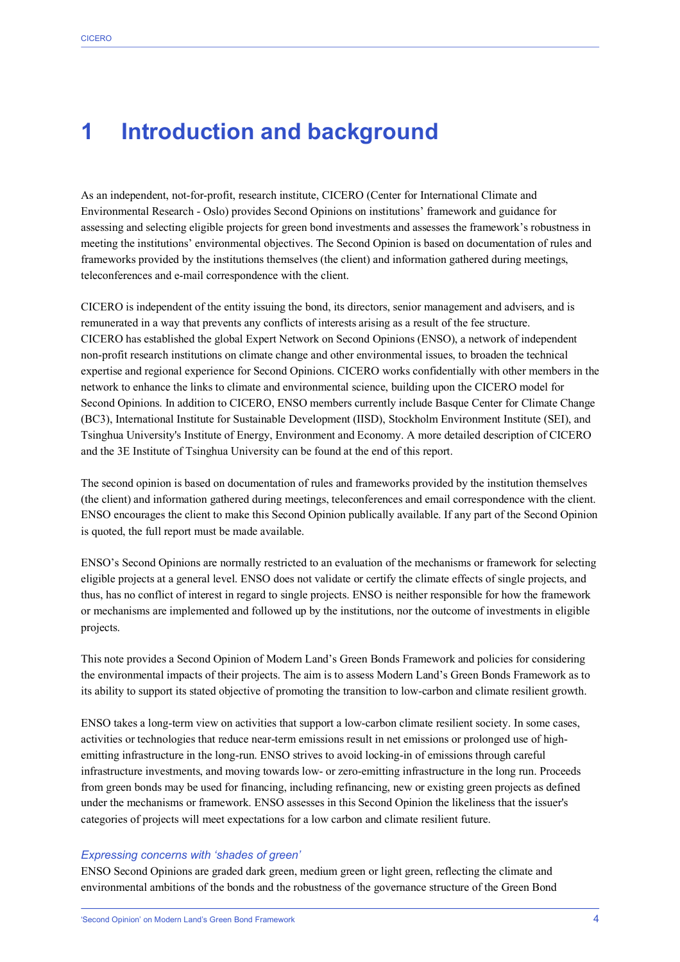### **1 Introduction and background**

As an independent, not-for-profit, research institute, CICERO (Center for International Climate and Environmental Research - Oslo) provides Second Opinions on institutions' framework and guidance for assessing and selecting eligible projects for green bond investments and assesses the framework's robustness in meeting the institutions' environmental objectives. The Second Opinion is based on documentation of rules and frameworks provided by the institutions themselves (the client) and information gathered during meetings, teleconferences and e-mail correspondence with the client.

CICERO is independent of the entity issuing the bond, its directors, senior management and advisers, and is remunerated in a way that prevents any conflicts of interests arising as a result of the fee structure. CICERO has established the global Expert Network on Second Opinions (ENSO), a network of independent non-profit research institutions on climate change and other environmental issues, to broaden the technical expertise and regional experience for Second Opinions. CICERO works confidentially with other members in the network to enhance the links to climate and environmental science, building upon the CICERO model for Second Opinions. In addition to CICERO, ENSO members currently include Basque Center for Climate Change (BC3), International Institute for Sustainable Development (IISD), Stockholm Environment Institute (SEI), and Tsinghua University's Institute of Energy, Environment and Economy. A more detailed description of CICERO and the 3E Institute of Tsinghua University can be found at the end of this report.

The second opinion is based on documentation of rules and frameworks provided by the institution themselves (the client) and information gathered during meetings, teleconferences and email correspondence with the client. ENSO encourages the client to make this Second Opinion publically available. If any part of the Second Opinion is quoted, the full report must be made available.

ENSO's Second Opinions are normally restricted to an evaluation of the mechanisms or framework for selecting eligible projects at a general level. ENSO does not validate or certify the climate effects of single projects, and thus, has no conflict of interest in regard to single projects. ENSO is neither responsible for how the framework or mechanisms are implemented and followed up by the institutions, nor the outcome of investments in eligible projects.

This note provides a Second Opinion of Modern Land's Green Bonds Framework and policies for considering the environmental impacts of their projects. The aim is to assess Modern Land's Green Bonds Framework as to its ability to support its stated objective of promoting the transition to low-carbon and climate resilient growth.

ENSO takes a long-term view on activities that support a low-carbon climate resilient society. In some cases, activities or technologies that reduce near-term emissions result in net emissions or prolonged use of highemitting infrastructure in the long-run. ENSO strives to avoid locking-in of emissions through careful infrastructure investments, and moving towards low- or zero-emitting infrastructure in the long run. Proceeds from green bonds may be used for financing, including refinancing, new or existing green projects as defined under the mechanisms or framework. ENSO assesses in this Second Opinion the likeliness that the issuer's categories of projects will meet expectations for a low carbon and climate resilient future.

#### *Expressing concerns with 'shades of green'*

ENSO Second Opinions are graded dark green, medium green or light green, reflecting the climate and environmental ambitions of the bonds and the robustness of the governance structure of the Green Bond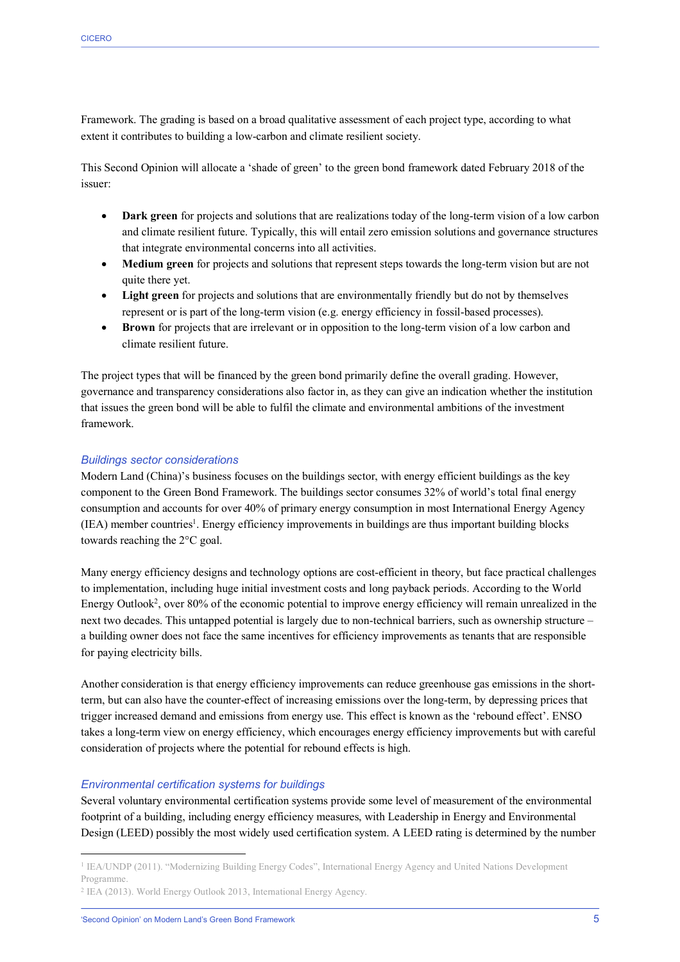Framework. The grading is based on a broad qualitative assessment of each project type, according to what extent it contributes to building a low-carbon and climate resilient society.

This Second Opinion will allocate a 'shade of green' to the green bond framework dated February 2018 of the issuer:

- **Dark green** for projects and solutions that are realizations today of the long-term vision of a low carbon and climate resilient future. Typically, this will entail zero emission solutions and governance structures that integrate environmental concerns into all activities.
- Medium green for projects and solutions that represent steps towards the long-term vision but are not quite there yet.
- Light green for projects and solutions that are environmentally friendly but do not by themselves represent or is part of the long-term vision (e.g. energy efficiency in fossil-based processes).
- **Brown** for projects that are irrelevant or in opposition to the long-term vision of a low carbon and climate resilient future.

The project types that will be financed by the green bond primarily define the overall grading. However, governance and transparency considerations also factor in, as they can give an indication whether the institution that issues the green bond will be able to fulfil the climate and environmental ambitions of the investment framework.

#### *Buildings sector considerations*

Modern Land (China)'s business focuses on the buildings sector, with energy efficient buildings as the key component to the Green Bond Framework. The buildings sector consumes 32% of world's total final energy consumption and accounts for over 40% of primary energy consumption in most International Energy Agency (IEA) member countries<sup>1</sup>. Energy efficiency improvements in buildings are thus important building blocks towards reaching the 2°C goal.

Many energy efficiency designs and technology options are cost-efficient in theory, but face practical challenges to implementation, including huge initial investment costs and long payback periods. According to the World Energy Outlook<sup>2</sup>, over 80% of the economic potential to improve energy efficiency will remain unrealized in the next two decades. This untapped potential is largely due to non-technical barriers, such as ownership structure – a building owner does not face the same incentives for efficiency improvements as tenants that are responsible for paying electricity bills.

Another consideration is that energy efficiency improvements can reduce greenhouse gas emissions in the shortterm, but can also have the counter-effect of increasing emissions over the long-term, by depressing prices that trigger increased demand and emissions from energy use. This effect is known as the 'rebound effect'. ENSO takes a long-term view on energy efficiency, which encourages energy efficiency improvements but with careful consideration of projects where the potential for rebound effects is high.

#### *Environmental certification systems for buildings*

Several voluntary environmental certification systems provide some level of measurement of the environmental footprint of a building, including energy efficiency measures, with Leadership in Energy and Environmental Design (LEED) possibly the most widely used certification system. A LEED rating is determined by the number

 <sup>1</sup> IEA/UNDP (2011). "Modernizing Building Energy Codes", International Energy Agency and United Nations Development Programme.

<sup>2</sup> IEA (2013). World Energy Outlook 2013, International Energy Agency.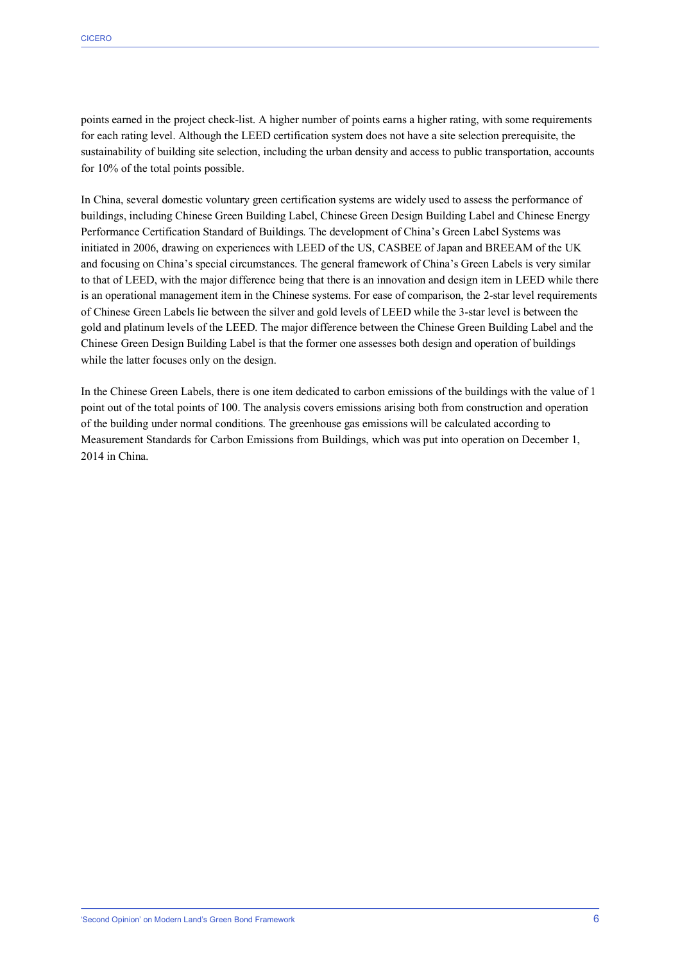points earned in the project check-list. A higher number of points earns a higher rating, with some requirements for each rating level. Although the LEED certification system does not have a site selection prerequisite, the sustainability of building site selection, including the urban density and access to public transportation, accounts for 10% of the total points possible.

In China, several domestic voluntary green certification systems are widely used to assess the performance of buildings, including Chinese Green Building Label, Chinese Green Design Building Label and Chinese Energy Performance Certification Standard of Buildings. The development of China's Green Label Systems was initiated in 2006, drawing on experiences with LEED of the US, CASBEE of Japan and BREEAM of the UK and focusing on China's special circumstances. The general framework of China's Green Labels is very similar to that of LEED, with the major difference being that there is an innovation and design item in LEED while there is an operational management item in the Chinese systems. For ease of comparison, the 2-star level requirements of Chinese Green Labels lie between the silver and gold levels of LEED while the 3-star level is between the gold and platinum levels of the LEED. The major difference between the Chinese Green Building Label and the Chinese Green Design Building Label is that the former one assesses both design and operation of buildings while the latter focuses only on the design.

In the Chinese Green Labels, there is one item dedicated to carbon emissions of the buildings with the value of 1 point out of the total points of 100. The analysis covers emissions arising both from construction and operation of the building under normal conditions. The greenhouse gas emissions will be calculated according to Measurement Standards for Carbon Emissions from Buildings, which was put into operation on December 1, 2014 in China.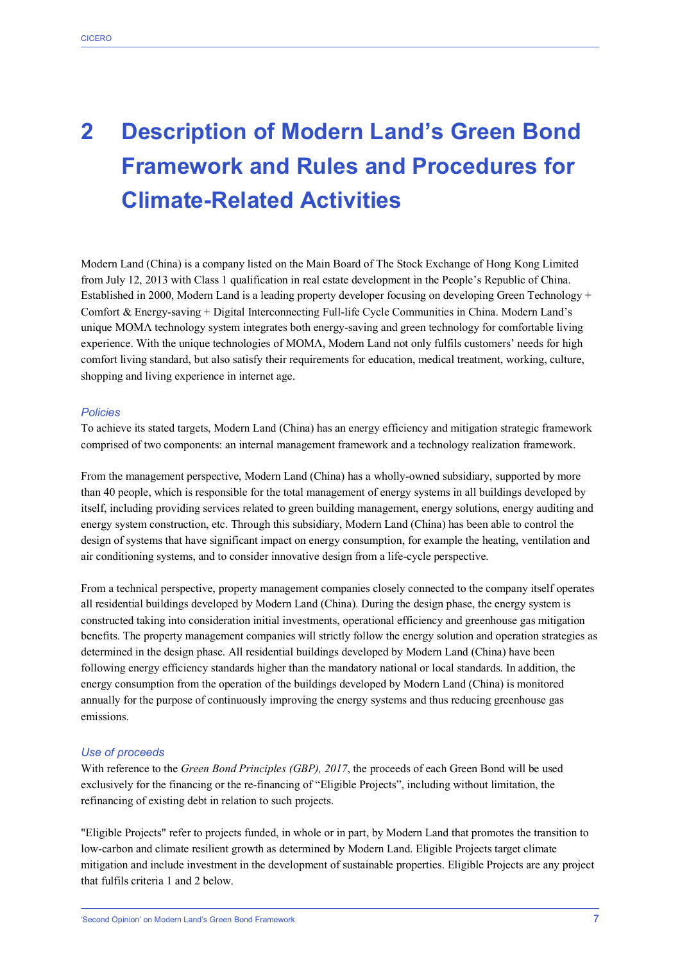## **2 Description of Modern Land's Green Bond Framework and Rules and Procedures for Climate-Related Activities**

Modern Land (China) is a company listed on the Main Board of The Stock Exchange of Hong Kong Limited from July 12, 2013 with Class 1 qualification in real estate development in the People's Republic of China. Established in 2000, Modern Land is a leading property developer focusing on developing Green Technology + Comfort & Energy-saving + Digital Interconnecting Full-life Cycle Communities in China. Modern Land's unique MOMΛ technology system integrates both energy-saving and green technology for comfortable living experience. With the unique technologies of MOMΛ, Modern Land not only fulfils customers' needs for high comfort living standard, but also satisfy their requirements for education, medical treatment, working, culture, shopping and living experience in internet age.

#### *Policies*

To achieve its stated targets, Modern Land (China) has an energy efficiency and mitigation strategic framework comprised of two components: an internal management framework and a technology realization framework.

From the management perspective, Modern Land (China) has a wholly-owned subsidiary, supported by more than 40 people, which is responsible for the total management of energy systems in all buildings developed by itself, including providing services related to green building management, energy solutions, energy auditing and energy system construction, etc. Through this subsidiary, Modern Land (China) has been able to control the design of systems that have significant impact on energy consumption, for example the heating, ventilation and air conditioning systems, and to consider innovative design from a life-cycle perspective.

From a technical perspective, property management companies closely connected to the company itself operates all residential buildings developed by Modern Land (China). During the design phase, the energy system is constructed taking into consideration initial investments, operational efficiency and greenhouse gas mitigation benefits. The property management companies will strictly follow the energy solution and operation strategies as determined in the design phase. All residential buildings developed by Modern Land (China) have been following energy efficiency standards higher than the mandatory national or local standards. In addition, the energy consumption from the operation of the buildings developed by Modern Land (China) is monitored annually for the purpose of continuously improving the energy systems and thus reducing greenhouse gas emissions.

#### *Use of proceeds*

With reference to the *Green Bond Principles (GBP), 2017*, the proceeds of each Green Bond will be used exclusively for the financing or the re-financing of "Eligible Projects", including without limitation, the refinancing of existing debt in relation to such projects.

"Eligible Projects" refer to projects funded, in whole or in part, by Modern Land that promotes the transition to low-carbon and climate resilient growth as determined by Modern Land. Eligible Projects target climate mitigation and include investment in the development of sustainable properties. Eligible Projects are any project that fulfils criteria 1 and 2 below.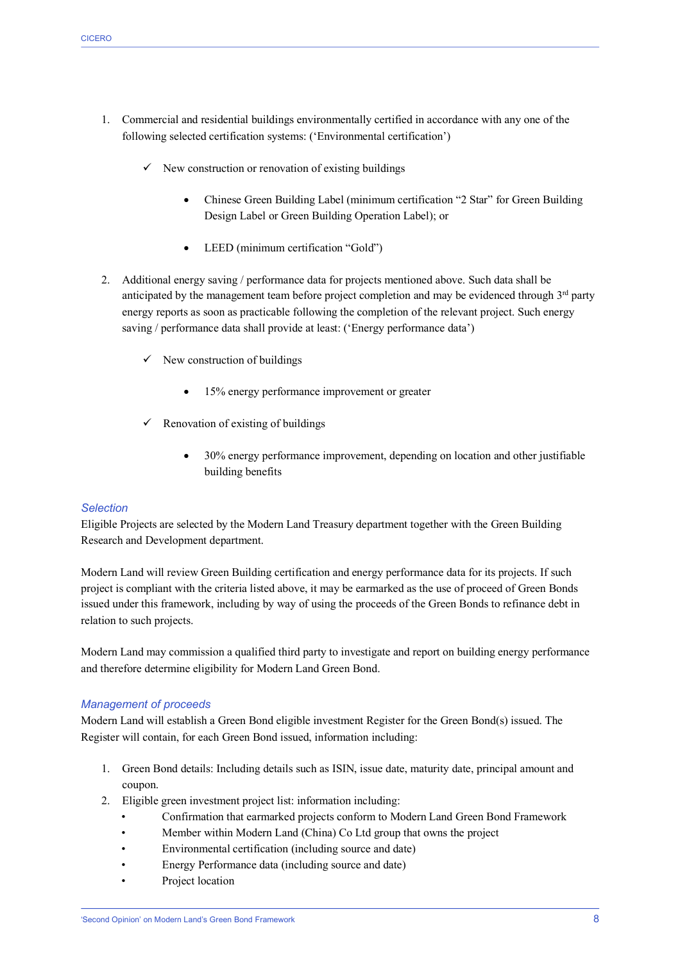- 1. Commercial and residential buildings environmentally certified in accordance with any one of the following selected certification systems: ('Environmental certification')
	- $\checkmark$  New construction or renovation of existing buildings
		- Chinese Green Building Label (minimum certification "2 Star" for Green Building Design Label or Green Building Operation Label); or
		- LEED (minimum certification "Gold")
- 2. Additional energy saving / performance data for projects mentioned above. Such data shall be anticipated by the management team before project completion and may be evidenced through  $3<sup>rd</sup>$  party energy reports as soon as practicable following the completion of the relevant project. Such energy saving / performance data shall provide at least: ('Energy performance data')
	- $\checkmark$  New construction of buildings
		- 15% energy performance improvement or greater
	- $\checkmark$  Renovation of existing of buildings
		- 30% energy performance improvement, depending on location and other justifiable building benefits

#### *Selection*

Eligible Projects are selected by the Modern Land Treasury department together with the Green Building Research and Development department.

Modern Land will review Green Building certification and energy performance data for its projects. If such project is compliant with the criteria listed above, it may be earmarked as the use of proceed of Green Bonds issued under this framework, including by way of using the proceeds of the Green Bonds to refinance debt in relation to such projects.

Modern Land may commission a qualified third party to investigate and report on building energy performance and therefore determine eligibility for Modern Land Green Bond.

#### *Management of proceeds*

Modern Land will establish a Green Bond eligible investment Register for the Green Bond(s) issued. The Register will contain, for each Green Bond issued, information including:

- 1. Green Bond details: Including details such as ISIN, issue date, maturity date, principal amount and coupon.
- 2. Eligible green investment project list: information including:
	- Confirmation that earmarked projects conform to Modern Land Green Bond Framework
	- Member within Modern Land (China) Co Ltd group that owns the project
	- Environmental certification (including source and date)
	- Energy Performance data (including source and date)
	- Project location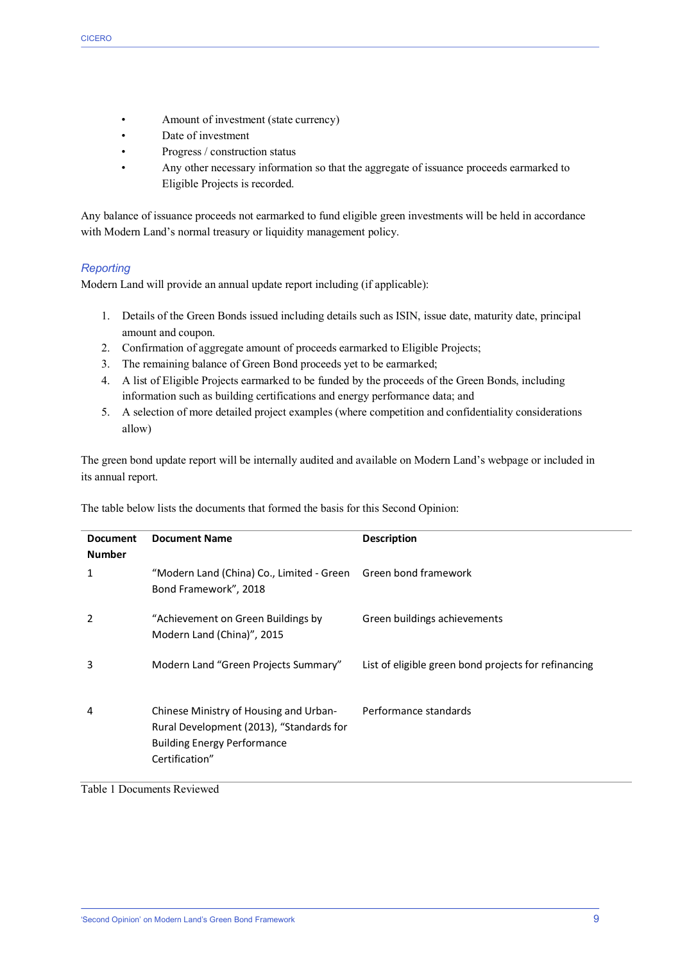- Amount of investment (state currency)
- Date of investment
- Progress / construction status
- Any other necessary information so that the aggregate of issuance proceeds earmarked to Eligible Projects is recorded.

Any balance of issuance proceeds not earmarked to fund eligible green investments will be held in accordance with Modern Land's normal treasury or liquidity management policy.

#### *Reporting*

Modern Land will provide an annual update report including (if applicable):

- 1. Details of the Green Bonds issued including details such as ISIN, issue date, maturity date, principal amount and coupon.
- 2. Confirmation of aggregate amount of proceeds earmarked to Eligible Projects;
- 3. The remaining balance of Green Bond proceeds yet to be earmarked;
- 4. A list of Eligible Projects earmarked to be funded by the proceeds of the Green Bonds, including information such as building certifications and energy performance data; and
- 5. A selection of more detailed project examples (where competition and confidentiality considerations allow)

The green bond update report will be internally audited and available on Modern Land's webpage or included in its annual report.

| <b>Document</b><br><b>Number</b> | <b>Document Name</b>                                                                                                                       | <b>Description</b>                                   |
|----------------------------------|--------------------------------------------------------------------------------------------------------------------------------------------|------------------------------------------------------|
| 1                                | "Modern Land (China) Co., Limited - Green Green bond framework<br>Bond Framework", 2018                                                    |                                                      |
| 2                                | "Achievement on Green Buildings by<br>Modern Land (China)", 2015                                                                           | Green buildings achievements                         |
| 3                                | Modern Land "Green Projects Summary"                                                                                                       | List of eligible green bond projects for refinancing |
| 4                                | Chinese Ministry of Housing and Urban-<br>Rural Development (2013), "Standards for<br><b>Building Energy Performance</b><br>Certification" | Performance standards                                |

The table below lists the documents that formed the basis for this Second Opinion:

Table 1 Documents Reviewed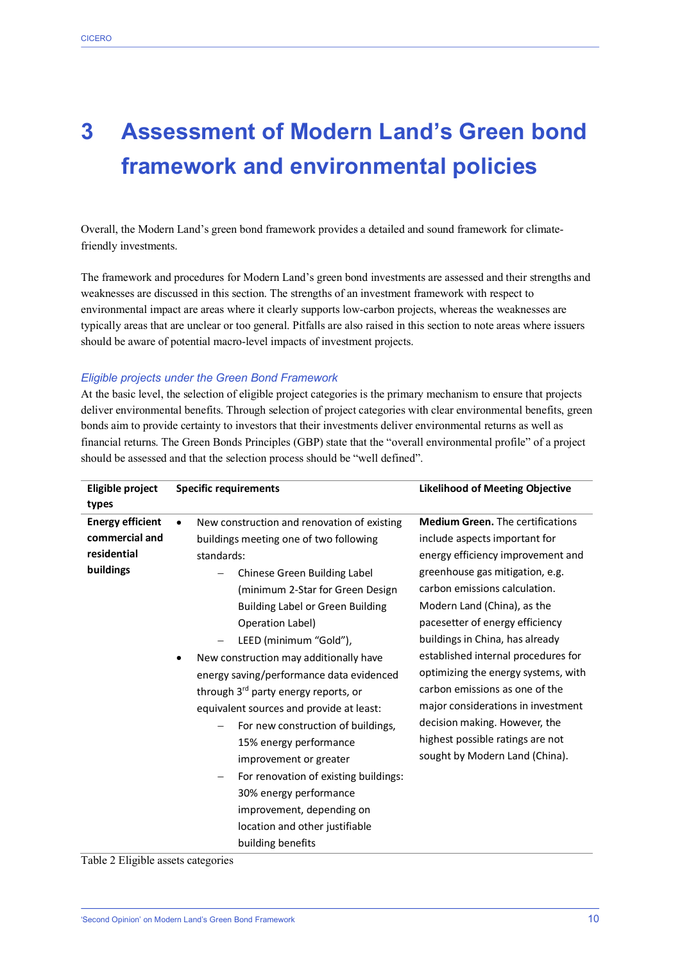### **3 Assessment of Modern Land's Green bond framework and environmental policies**

Overall, the Modern Land's green bond framework provides a detailed and sound framework for climatefriendly investments.

The framework and procedures for Modern Land's green bond investments are assessed and their strengths and weaknesses are discussed in this section. The strengths of an investment framework with respect to environmental impact are areas where it clearly supports low-carbon projects, whereas the weaknesses are typically areas that are unclear or too general. Pitfalls are also raised in this section to note areas where issuers should be aware of potential macro-level impacts of investment projects.

#### *Eligible projects under the Green Bond Framework*

At the basic level, the selection of eligible project categories is the primary mechanism to ensure that projects deliver environmental benefits. Through selection of project categories with clear environmental benefits, green bonds aim to provide certainty to investors that their investments deliver environmental returns as well as financial returns. The Green Bonds Principles (GBP) state that the "overall environmental profile" of a project should be assessed and that the selection process should be "well defined".

| Eligible project        |           | <b>Specific requirements</b>                | <b>Likelihood of Meeting Objective</b>  |
|-------------------------|-----------|---------------------------------------------|-----------------------------------------|
| types                   |           |                                             |                                         |
| <b>Energy efficient</b> | $\bullet$ | New construction and renovation of existing | <b>Medium Green.</b> The certifications |
| commercial and          |           | buildings meeting one of two following      | include aspects important for           |
| residential             |           | standards:                                  | energy efficiency improvement and       |
| buildings               |           | Chinese Green Building Label                | greenhouse gas mitigation, e.g.         |
|                         |           | (minimum 2-Star for Green Design            | carbon emissions calculation.           |
|                         |           | <b>Building Label or Green Building</b>     | Modern Land (China), as the             |
|                         |           | Operation Label)                            | pacesetter of energy efficiency         |
|                         |           | LEED (minimum "Gold"),                      | buildings in China, has already         |
|                         |           | New construction may additionally have      | established internal procedures for     |
|                         |           | energy saving/performance data evidenced    | optimizing the energy systems, with     |
|                         |           | through 3rd party energy reports, or        | carbon emissions as one of the          |
|                         |           | equivalent sources and provide at least:    | major considerations in investment      |
|                         |           | For new construction of buildings,          | decision making. However, the           |
|                         |           | 15% energy performance                      | highest possible ratings are not        |
|                         |           | improvement or greater                      | sought by Modern Land (China).          |
|                         |           | For renovation of existing buildings:       |                                         |
|                         |           | 30% energy performance                      |                                         |
|                         |           | improvement, depending on                   |                                         |
|                         |           | location and other justifiable              |                                         |
|                         |           | building benefits                           |                                         |

Table 2 Eligible assets categories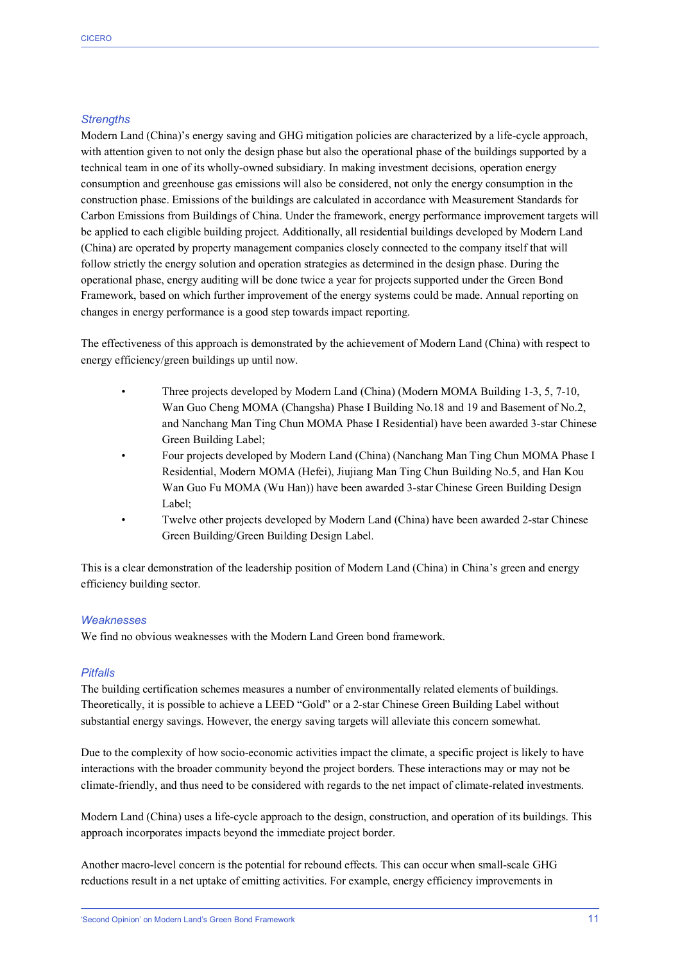#### *Strengths*

Modern Land (China)'s energy saving and GHG mitigation policies are characterized by a life-cycle approach, with attention given to not only the design phase but also the operational phase of the buildings supported by a technical team in one of its wholly-owned subsidiary. In making investment decisions, operation energy consumption and greenhouse gas emissions will also be considered, not only the energy consumption in the construction phase. Emissions of the buildings are calculated in accordance with Measurement Standards for Carbon Emissions from Buildings of China. Under the framework, energy performance improvement targets will be applied to each eligible building project. Additionally, all residential buildings developed by Modern Land (China) are operated by property management companies closely connected to the company itself that will follow strictly the energy solution and operation strategies as determined in the design phase. During the operational phase, energy auditing will be done twice a year for projects supported under the Green Bond Framework, based on which further improvement of the energy systems could be made. Annual reporting on changes in energy performance is a good step towards impact reporting.

The effectiveness of this approach is demonstrated by the achievement of Modern Land (China) with respect to energy efficiency/green buildings up until now.

- Three projects developed by Modern Land (China) (Modern MOMA Building 1-3, 5, 7-10, Wan Guo Cheng MOMA (Changsha) Phase I Building No.18 and 19 and Basement of No.2, and Nanchang Man Ting Chun MOMA Phase I Residential) have been awarded 3-star Chinese Green Building Label;
- Four projects developed by Modern Land (China) (Nanchang Man Ting Chun MOMA Phase I Residential, Modern MOMA (Hefei), Jiujiang Man Ting Chun Building No.5, and Han Kou Wan Guo Fu MOMA (Wu Han)) have been awarded 3-star Chinese Green Building Design Label;
- Twelve other projects developed by Modern Land (China) have been awarded 2-star Chinese Green Building/Green Building Design Label.

This is a clear demonstration of the leadership position of Modern Land (China) in China's green and energy efficiency building sector.

#### *Weaknesses*

We find no obvious weaknesses with the Modern Land Green bond framework.

#### *Pitfalls*

The building certification schemes measures a number of environmentally related elements of buildings. Theoretically, it is possible to achieve a LEED "Gold" or a 2-star Chinese Green Building Label without substantial energy savings. However, the energy saving targets will alleviate this concern somewhat.

Due to the complexity of how socio-economic activities impact the climate, a specific project is likely to have interactions with the broader community beyond the project borders. These interactions may or may not be climate-friendly, and thus need to be considered with regards to the net impact of climate-related investments.

Modern Land (China) uses a life-cycle approach to the design, construction, and operation of its buildings. This approach incorporates impacts beyond the immediate project border.

Another macro-level concern is the potential for rebound effects. This can occur when small-scale GHG reductions result in a net uptake of emitting activities. For example, energy efficiency improvements in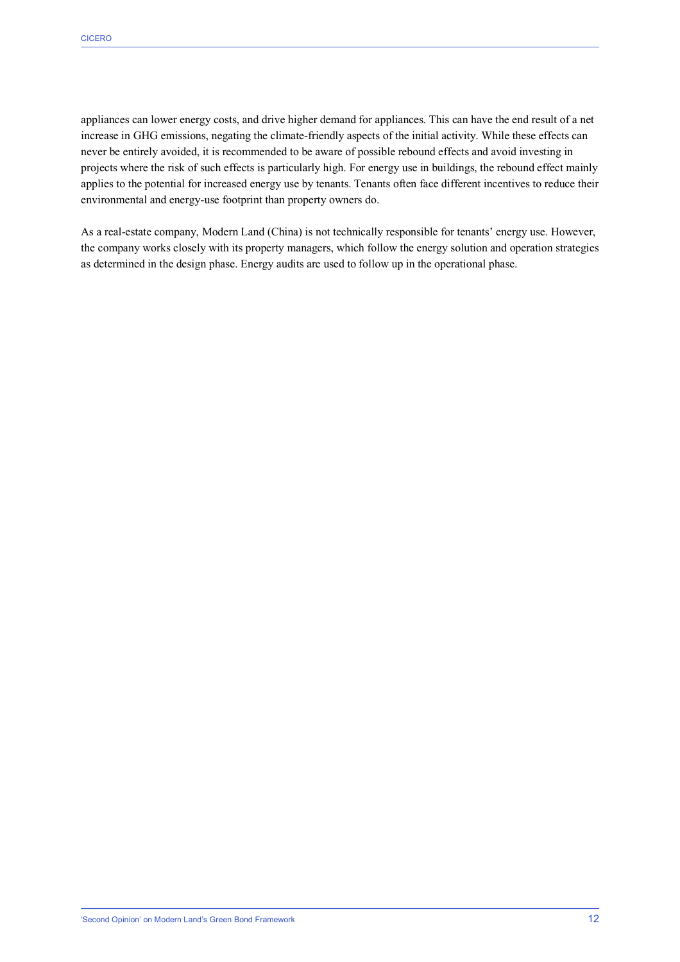appliances can lower energy costs, and drive higher demand for appliances. This can have the end result of a net increase in GHG emissions, negating the climate-friendly aspects of the initial activity. While these effects can never be entirely avoided, it is recommended to be aware of possible rebound effects and avoid investing in projects where the risk of such effects is particularly high. For energy use in buildings, the rebound effect mainly applies to the potential for increased energy use by tenants. Tenants often face different incentives to reduce their environmental and energy-use footprint than property owners do.

As a real-estate company, Modern Land (China) is not technically responsible for tenants' energy use. However, the company works closely with its property managers, which follow the energy solution and operation strategies as determined in the design phase. Energy audits are used to follow up in the operational phase.